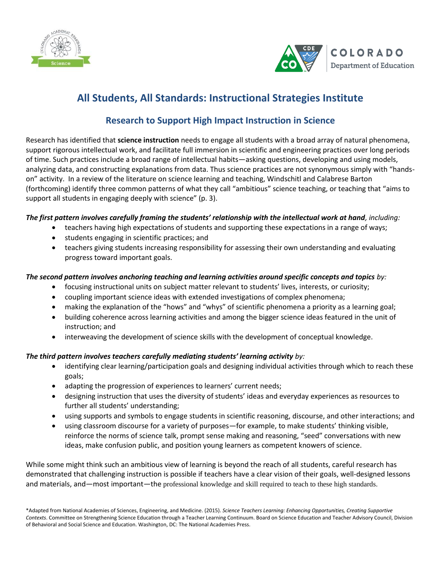



# **All Students, All Standards: Instructional Strategies Institute**

# **Research to Support High Impact Instruction in Science**

Research has identified that **science instruction** needs to engage all students with a broad array of natural phenomena, support rigorous intellectual work, and facilitate full immersion in scientific and engineering practices over long periods of time. Such practices include a broad range of intellectual habits—asking questions, developing and using models, analyzing data, and constructing explanations from data. Thus science practices are not synonymous simply with "handson" activity. In a review of the literature on science learning and teaching, Windschitl and Calabrese Barton (forthcoming) identify three common patterns of what they call "ambitious" science teaching, or teaching that "aims to support all students in engaging deeply with science" (p. 3).

### *The first pattern involves carefully framing the students' relationship with the intellectual work at hand, including:*

- teachers having high expectations of students and supporting these expectations in a range of ways;
- students engaging in scientific practices; and
- teachers giving students increasing responsibility for assessing their own understanding and evaluating progress toward important goals.

### *The second pattern involves anchoring teaching and learning activities around specific concepts and topics by:*

- focusing instructional units on subject matter relevant to students' lives, interests, or curiosity;
- coupling important science ideas with extended investigations of complex phenomena;
- making the explanation of the "hows" and "whys" of scientific phenomena a priority as a learning goal;
- building coherence across learning activities and among the bigger science ideas featured in the unit of instruction; and
- interweaving the development of science skills with the development of conceptual knowledge.

# *The third pattern involves teachers carefully mediating students' learning activity by:*

- identifying clear learning/participation goals and designing individual activities through which to reach these goals;
- adapting the progression of experiences to learners' current needs;
- designing instruction that uses the diversity of students' ideas and everyday experiences as resources to further all students' understanding;
- using supports and symbols to engage students in scientific reasoning, discourse, and other interactions; and
- using classroom discourse for a variety of purposes—for example, to make students' thinking visible, reinforce the norms of science talk, prompt sense making and reasoning, "seed" conversations with new ideas, make confusion public, and position young learners as competent knowers of science.

While some might think such an ambitious view of learning is beyond the reach of all students, careful research has demonstrated that challenging instruction is possible if teachers have a clear vision of their goals, well-designed lessons and materials, and—most important—the professional knowledge and skill required to teach to these high standards.